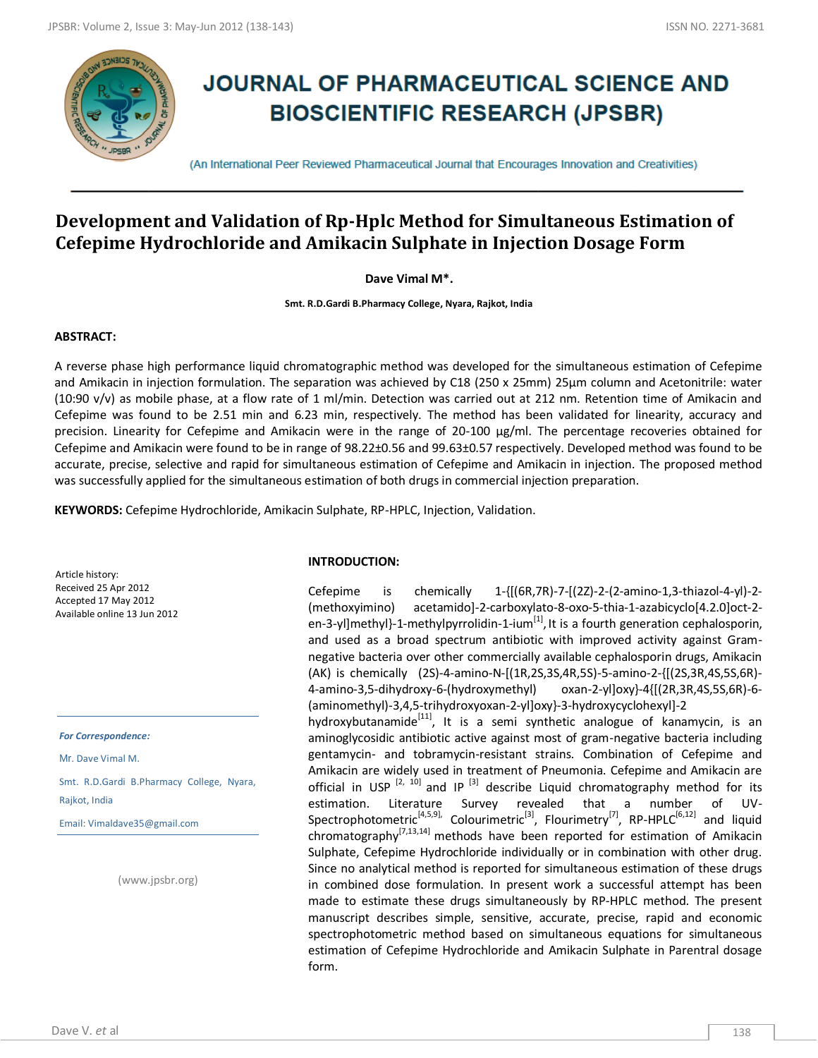

# **JOURNAL OF PHARMACEUTICAL SCIENCE AND BIOSCIENTIFIC RESEARCH (JPSBR)**

(An International Peer Reviewed Pharmaceutical Journal that Encourages Innovation and Creativities)

## **Development and Validation of Rp-Hplc Method for Simultaneous Estimation of Cefepime Hydrochloride and Amikacin Sulphate in Injection Dosage Form**

**Dave Vimal M\*.**

**Smt. R.D.Gardi B.Pharmacy College, Nyara, Rajkot, India**

#### **ABSTRACT:**

A reverse phase high performance liquid chromatographic method was developed for the simultaneous estimation of Cefepime and Amikacin in injection formulation. The separation was achieved by C18 (250 x 25mm) 25μm column and Acetonitrile: water (10:90 v/v) as mobile phase, at a flow rate of 1 ml/min. Detection was carried out at 212 nm. Retention time of Amikacin and Cefepime was found to be 2.51 min and 6.23 min, respectively. The method has been validated for linearity, accuracy and precision. Linearity for Cefepime and Amikacin were in the range of 20-100 μg/ml. The percentage recoveries obtained for Cefepime and Amikacin were found to be in range of 98.22±0.56 and 99.63±0.57 respectively. Developed method was found to be accurate, precise, selective and rapid for simultaneous estimation of Cefepime and Amikacin in injection. The proposed method was successfully applied for the simultaneous estimation of both drugs in commercial injection preparation.

**KEYWORDS:** Cefepime Hydrochloride, Amikacin Sulphate, RP-HPLC, Injection, Validation.

Article history: Received 25 Apr 2012 Accepted 17 May 2012 Available online 13 Jun 2012

*For Correspondence:*

Mr. Dave Vimal M.

Smt. R.D.Gardi B.Pharmacy College, Nyara, Rajkot, India

Email: Vimaldave35@gmail.com

(www.jpsbr.org)

#### **INTRODUCTION:**

Cefepime is chemically  $1-\{[(6R,7R)-7-[(2Z)-2-(2-amin-1,3-thiaz-1,4-y]\}-2-1\}$ (methoxyimino) acetamido]-2-carboxylato-8-oxo-5-thia-1-azabicyclo[4.2.0]oct-2 en-3-yl]methyl}-1-methylpyrrolidin-1-ium<sup>[1]</sup>, It is a fourth generation cephalosporin, and used as a broad spectrum antibiotic with improved activity against Gramnegative bacteria over other commercially available cephalosporin drugs, Amikacin (AK) is chemically (2S)-4-amino-N-[(1R,2S,3S,4R,5S)-5-amino-2-{[(2S,3R,4S,5S,6R)- 4-amino-3,5-dihydroxy-6-(hydroxymethyl) oxan-2-yl]oxy}-4{[(2R,3R,4S,5S,6R)-6- (aminomethyl)-3,4,5-trihydroxyoxan-2-yl]oxy}-3-hydroxycyclohexyl]-2 hydroxybutanamide<sup>[11]</sup>, It is a semi synthetic analogue of kanamycin, is an aminoglycosidic antibiotic active against most of gram-negative bacteria including gentamycin- and tobramycin-resistant strains. Combination of Cefepime and Amikacin are widely used in treatment of Pneumonia. Cefepime and Amikacin are official in USP  $[2, 10]$  and IP  $[3]$  describe Liquid chromatography method for its estimation. Literature Survey revealed that a number of UV-Spectrophotometric<sup>[4,5,9]</sup>, Colourimetric<sup>[3]</sup>, Flourimetry<sup>[7]</sup>, RP-HPLC<sup>[6,12]</sup> and liquid chromatography<sup>[7,13,14]</sup> methods have been reported for estimation of Amikacin Sulphate, Cefepime Hydrochloride individually or in combination with other drug. Since no analytical method is reported for simultaneous estimation of these drugs in combined dose formulation. In present work a successful attempt has been made to estimate these drugs simultaneously by RP-HPLC method. The present manuscript describes simple, sensitive, accurate, precise, rapid and economic spectrophotometric method based on simultaneous equations for simultaneous estimation of Cefepime Hydrochloride and Amikacin Sulphate in Parentral dosage form.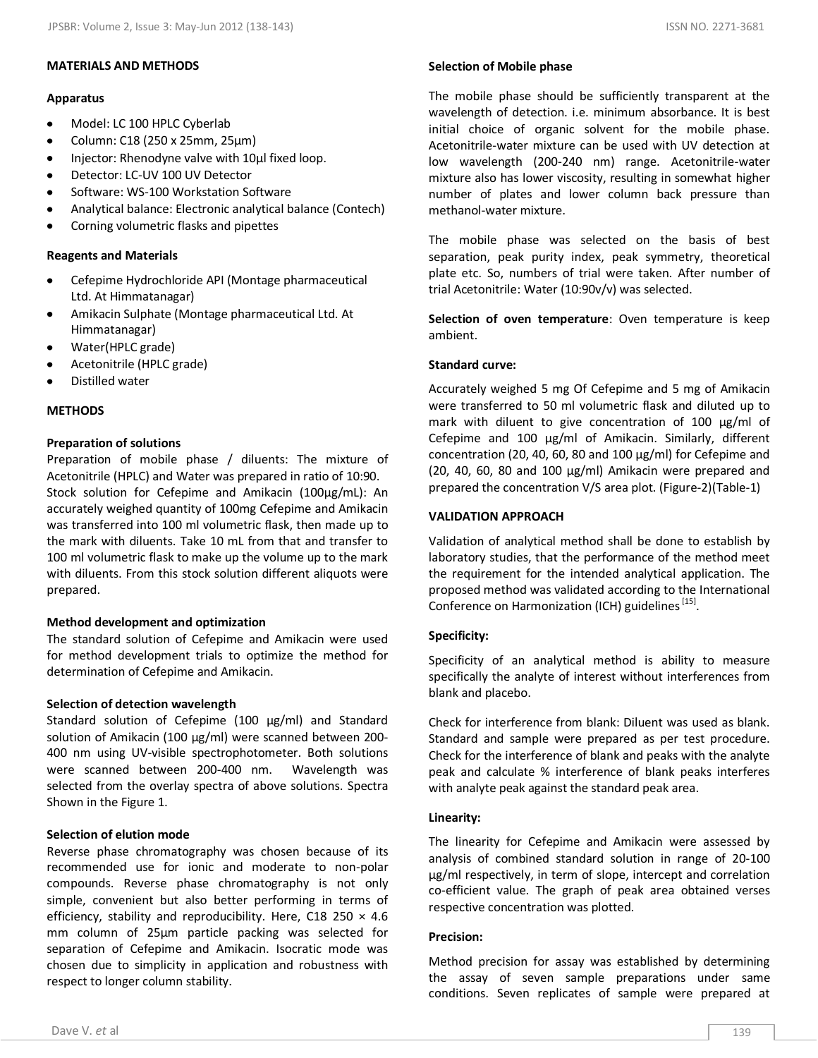## **Apparatus**

- $\bullet$ Model: LC 100 HPLC Cyberlab
- Column: C18 (250 x 25mm, 25µm)
- Injector: Rhenodyne valve with 10μl fixed loop.
- Detector: LC-UV 100 UV Detector
- Software: WS-100 Workstation Software
- Analytical balance: Electronic analytical balance (Contech)
- Corning volumetric flasks and pipettes

## **Reagents and Materials**

- Cefepime Hydrochloride API (Montage pharmaceutical  $\bullet$ Ltd. At Himmatanagar)
- Amikacin Sulphate (Montage pharmaceutical Ltd. At Himmatanagar)
- Water(HPLC grade)
- Acetonitrile (HPLC grade)
- Distilled water

## **METHODS**

## **Preparation of solutions**

Preparation of mobile phase / diluents: The mixture of Acetonitrile (HPLC) and Water was prepared in ratio of 10:90. Stock solution for Cefepime and Amikacin (100µg/mL): An accurately weighed quantity of 100mg Cefepime and Amikacin was transferred into 100 ml volumetric flask, then made up to the mark with diluents. Take 10 mL from that and transfer to 100 ml volumetric flask to make up the volume up to the mark with diluents. From this stock solution different aliquots were prepared.

## **Method development and optimization**

The standard solution of Cefepime and Amikacin were used for method development trials to optimize the method for determination of Cefepime and Amikacin.

## **Selection of detection wavelength**

Standard solution of Cefepime (100 μg/ml) and Standard solution of Amikacin (100 μg/ml) were scanned between 200- 400 nm using UV-visible spectrophotometer. Both solutions were scanned between 200-400 nm. Wavelength was selected from the overlay spectra of above solutions. Spectra Shown in the Figure 1.

## **Selection of elution mode**

Reverse phase chromatography was chosen because of its recommended use for ionic and moderate to non-polar compounds. Reverse phase chromatography is not only simple, convenient but also better performing in terms of efficiency, stability and reproducibility. Here, C18 250  $\times$  4.6 mm column of 25μm particle packing was selected for separation of Cefepime and Amikacin. Isocratic mode was chosen due to simplicity in application and robustness with respect to longer column stability.

## **Selection of Mobile phase**

The mobile phase should be sufficiently transparent at the wavelength of detection. i.e. minimum absorbance. It is best initial choice of organic solvent for the mobile phase. Acetonitrile-water mixture can be used with UV detection at low wavelength (200-240 nm) range. Acetonitrile-water mixture also has lower viscosity, resulting in somewhat higher number of plates and lower column back pressure than methanol-water mixture.

The mobile phase was selected on the basis of best separation, peak purity index, peak symmetry, theoretical plate etc. So, numbers of trial were taken. After number of trial Acetonitrile: Water (10:90v/v) was selected.

**Selection of oven temperature**: Oven temperature is keep ambient.

## **Standard curve:**

Accurately weighed 5 mg Of Cefepime and 5 mg of Amikacin were transferred to 50 ml volumetric flask and diluted up to mark with diluent to give concentration of 100 μg/ml of Cefepime and 100 μg/ml of Amikacin. Similarly, different concentration (20, 40, 60, 80 and 100 μg/ml) for Cefepime and (20, 40, 60, 80 and 100 μg/ml) Amikacin were prepared and prepared the concentration V/S area plot. (Figure-2)(Table-1)

## **VALIDATION APPROACH**

Validation of analytical method shall be done to establish by laboratory studies, that the performance of the method meet the requirement for the intended analytical application. The proposed method was validated according to the International Conference on Harmonization (ICH) guidelines <sup>[15]</sup>.

## **Specificity:**

Specificity of an analytical method is ability to measure specifically the analyte of interest without interferences from blank and placebo.

Check for interference from blank: Diluent was used as blank. Standard and sample were prepared as per test procedure. Check for the interference of blank and peaks with the analyte peak and calculate % interference of blank peaks interferes with analyte peak against the standard peak area.

## **Linearity:**

The linearity for Cefepime and Amikacin were assessed by analysis of combined standard solution in range of 20-100 μg/ml respectively, in term of slope, intercept and correlation co-efficient value. The graph of peak area obtained verses respective concentration was plotted.

## **Precision:**

Method precision for assay was established by determining the assay of seven sample preparations under same conditions. Seven replicates of sample were prepared at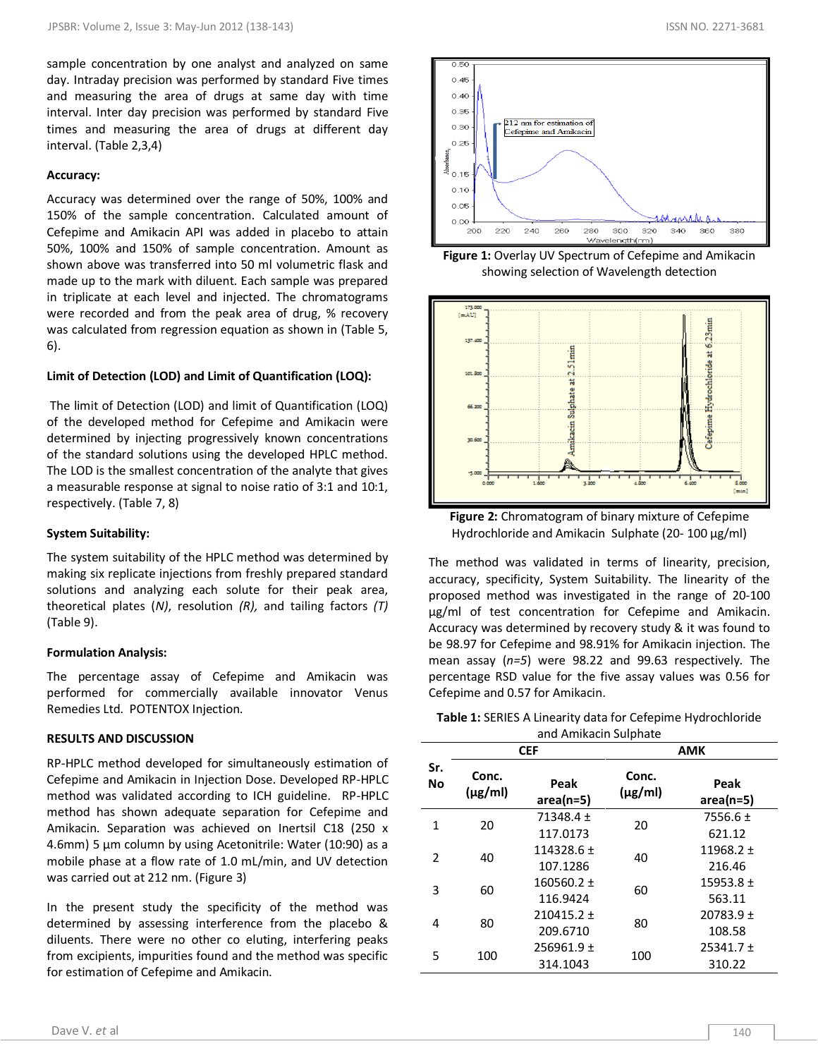sample concentration by one analyst and analyzed on same day. Intraday precision was performed by standard Five times and measuring the area of drugs at same day with time interval. Inter day precision was performed by standard Five times and measuring the area of drugs at different day interval. (Table 2,3,4)

#### **Accuracy:**

Accuracy was determined over the range of 50%, 100% and 150% of the sample concentration. Calculated amount of Cefepime and Amikacin API was added in placebo to attain 50%, 100% and 150% of sample concentration. Amount as shown above was transferred into 50 ml volumetric flask and made up to the mark with diluent. Each sample was prepared in triplicate at each level and injected. The chromatograms were recorded and from the peak area of drug, % recovery was calculated from regression equation as shown in (Table 5, 6).

#### **Limit of Detection (LOD) and Limit of Quantification (LOQ):**

The limit of Detection (LOD) and limit of Quantification (LOQ) of the developed method for Cefepime and Amikacin were determined by injecting progressively known concentrations of the standard solutions using the developed HPLC method. The LOD is the smallest concentration of the analyte that gives a measurable response at signal to noise ratio of 3:1 and 10:1, respectively. (Table 7, 8)

#### **System Suitability:**

The system suitability of the HPLC method was determined by making six replicate injections from freshly prepared standard solutions and analyzing each solute for their peak area, theoretical plates (*N)*, resolution *(R),* and tailing factors *(T)*  (Table 9).

#### **Formulation Analysis:**

The percentage assay of Cefepime and Amikacin was performed for commercially available innovator Venus Remedies Ltd. POTENTOX Injection.

#### **RESULTS AND DISCUSSION**

RP-HPLC method developed for simultaneously estimation of Cefepime and Amikacin in Injection Dose. Developed RP-HPLC method was validated according to ICH guideline. RP-HPLC method has shown adequate separation for Cefepime and Amikacin. Separation was achieved on Inertsil C18 (250 x 4.6mm) 5 µm column by using Acetonitrile: Water (10:90) as a mobile phase at a flow rate of 1.0 mL/min, and UV detection was carried out at 212 nm. (Figure 3)

In the present study the specificity of the method was determined by assessing interference from the placebo & diluents. There were no other co eluting, interfering peaks from excipients, impurities found and the method was specific for estimation of Cefepime and Amikacin.



**Figure 1:** Overlay UV Spectrum of Cefepime and Amikacin showing selection of Wavelength detection



**Figure 2:** Chromatogram of binary mixture of Cefepime Hydrochloride and Amikacin Sulphate (20- 100 μg/ml)

The method was validated in terms of linearity, precision, accuracy, specificity, System Suitability. The linearity of the proposed method was investigated in the range of 20-100 µg/ml of test concentration for Cefepime and Amikacin. Accuracy was determined by recovery study & it was found to be 98.97 for Cefepime and 98.91% for Amikacin injection. The mean assay (*n=5*) were 98.22 and 99.63 respectively. The percentage RSD value for the five assay values was 0.56 for Cefepime and 0.57 for Amikacin.

| <b>Table 1: SERIES A Linearity data for Cefepime Hydrochloride</b> |
|--------------------------------------------------------------------|
| and Amikacin Sulphate                                              |

|           | <b>CEF</b>            |                     | <b>AMK</b>            |                     |  |
|-----------|-----------------------|---------------------|-----------------------|---------------------|--|
| Sr.<br>No | Conc.<br>$(\mu g/ml)$ | Peak<br>$area(n=5)$ | Conc.<br>$(\mu g/ml)$ | Peak<br>$area(n=5)$ |  |
| 1         | 20                    | 71348.4 $\pm$       | 20                    | 7556.6 $\pm$        |  |
|           |                       | 117.0173            |                       | 621.12              |  |
| 2         | 40                    | $114328.6 \pm$      | 40                    | $11968.2 \pm$       |  |
|           |                       | 107.1286            |                       | 216.46              |  |
| 3         | 60                    | $160560.2 \pm$      | 60                    | $15953.8 \pm$       |  |
|           |                       | 116.9424            |                       | 563.11              |  |
|           | 80                    | $210415.2 \pm$      | 80                    | $20783.9 +$         |  |
| 4         |                       | 209.6710            |                       | 108.58              |  |
| 5         |                       | $256961.9 \pm$      |                       | $25341.7 \pm$       |  |
|           | 100                   | 314.1043            | 100                   | 310.22              |  |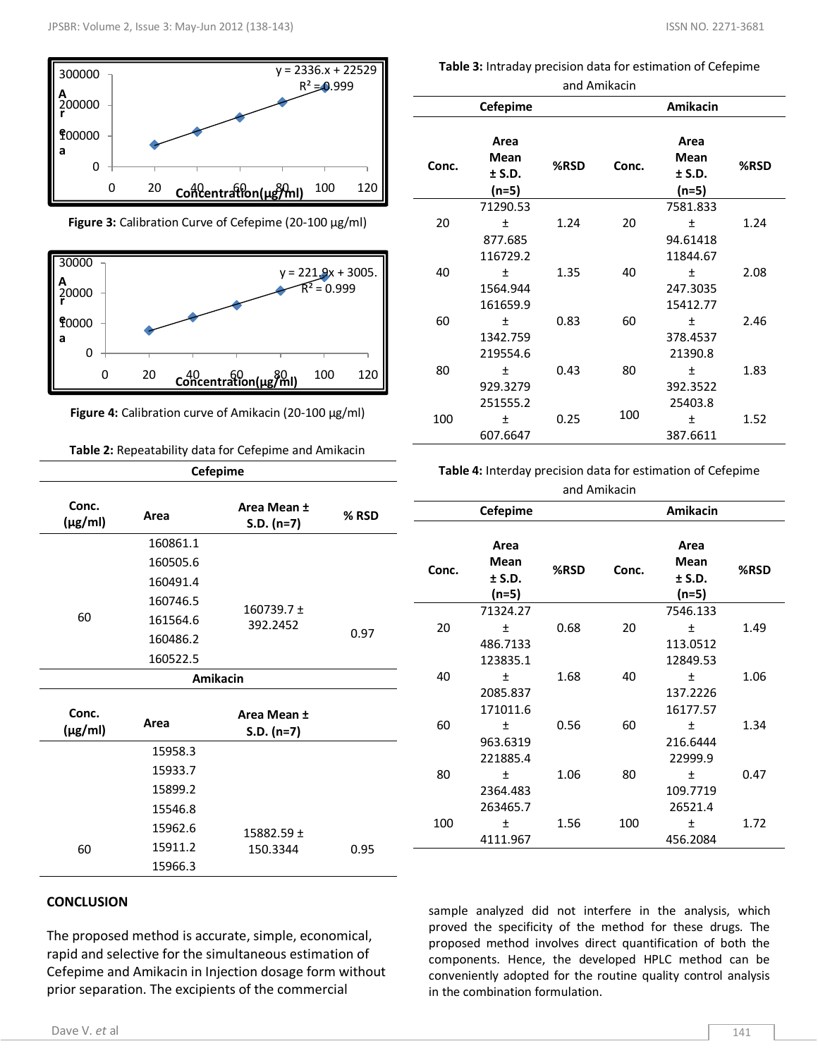

**Figure 3:** Calibration Curve of Cefepime (20-100 μg/ml)



**Figure 4:** Calibration curve of Amikacin (20-100 μg/ml)

## **Table 2:** Repeatability data for Cefepime and Amikacin

| <b>Cefepime</b>       |          |                             |       |  |
|-----------------------|----------|-----------------------------|-------|--|
| Conc.<br>$(\mu g/ml)$ | Area     | Area Mean ±<br>$S.D. (n=7)$ | % RSD |  |
|                       | 160861.1 |                             |       |  |
|                       | 160505.6 |                             |       |  |
|                       | 160491.4 |                             |       |  |
|                       | 160746.5 | $160739.7 \pm$              |       |  |
| 60                    | 161564.6 | 392.2452                    |       |  |
|                       | 160486.2 |                             | 0.97  |  |
|                       | 160522.5 |                             |       |  |
|                       | Amikacin |                             |       |  |
| Conc.<br>$(\mu g/ml)$ | Area     | Area Mean ±<br>$S.D. (n=7)$ |       |  |
|                       | 15958.3  |                             |       |  |
|                       | 15933.7  |                             |       |  |
|                       | 15899.2  |                             |       |  |
|                       | 15546.8  |                             |       |  |
|                       | 15962.6  | 15882.59 ±                  |       |  |
| 60                    | 15911.2  | 150.3344                    | 0.95  |  |
|                       | 15966.3  |                             |       |  |

## **CONCLUSION**

The proposed method is accurate, simple, economical, rapid and selective for the simultaneous estimation of Cefepime and Amikacin in Injection dosage form without prior separation. The excipients of the commercial

**Table 3:** Intraday precision data for estimation of Cefepime and Amikacin

| aliu Alliinacili |                                      |      |       |                                       |      |
|------------------|--------------------------------------|------|-------|---------------------------------------|------|
|                  | Cefepime                             |      |       | <b>Amikacin</b>                       |      |
| Conc.            | Area<br>Mean<br>$±$ S.D.<br>(n=5)    | %RSD | Conc. | Area<br>Mean<br>$±$ S.D.<br>$(n=5)$   | %RSD |
| 20               | 71290.53<br>土<br>877.685<br>116729.2 | 1.24 | 20    | 7581.833<br>Ŧ<br>94.61418<br>11844.67 | 1.24 |
| 40               | $\pmb{+}$<br>1564.944<br>161659.9    | 1.35 | 40    | $\ddot{}$<br>247.3035<br>15412.77     | 2.08 |
| 60               | $\ddot{}$<br>1342.759<br>219554.6    | 0.83 | 60    | 土<br>378.4537<br>21390.8              | 2.46 |
| 80               | 土<br>929.3279<br>251555.2            | 0.43 | 80    | 土<br>392.3522<br>25403.8              | 1.83 |
| 100              | 土<br>607.6647                        | 0.25 | 100   | 土<br>387.6611                         | 1.52 |

**Table 4:** Interday precision data for estimation of Cefepime and Amikacin

|       | Amikacin<br>Cefepime            |      |       |                                   |      |
|-------|---------------------------------|------|-------|-----------------------------------|------|
| Conc. | Area<br>Mean<br>± S.D.<br>(n=5) | %RSD | Conc. | Area<br>Mean<br>$±$ S.D.<br>(n=5) | %RSD |
|       | 71324.27                        |      |       | 7546.133                          |      |
| 20    | Ŧ                               | 0.68 | 20    | Ŧ                                 | 1.49 |
|       | 486.7133                        |      |       | 113.0512                          |      |
|       | 123835.1                        |      |       | 12849.53                          |      |
| 40    | $\ddot{}$                       | 1.68 | 40    | $\ddot{}$                         | 1.06 |
|       | 2085.837                        |      |       | 137.2226                          |      |
|       | 171011.6                        |      |       | 16177.57                          |      |
| 60    | $\ddot{}$                       | 0.56 | 60    | $\ddot{}$                         | 1.34 |
|       | 963.6319                        |      |       | 216.6444                          |      |
|       | 221885.4                        |      |       | 22999.9                           |      |
| 80    | 土                               | 1.06 | 80    | 土                                 | 0.47 |
|       | 2364.483                        |      |       | 109.7719                          |      |
|       | 263465.7                        |      |       | 26521.4                           |      |
| 100   | 土                               | 1.56 | 100   | 土                                 | 1.72 |
|       | 4111.967                        |      |       | 456.2084                          |      |

sample analyzed did not interfere in the analysis, which proved the specificity of the method for these drugs. The proposed method involves direct quantification of both the components. Hence, the developed HPLC method can be conveniently adopted for the routine quality control analysis in the combination formulation.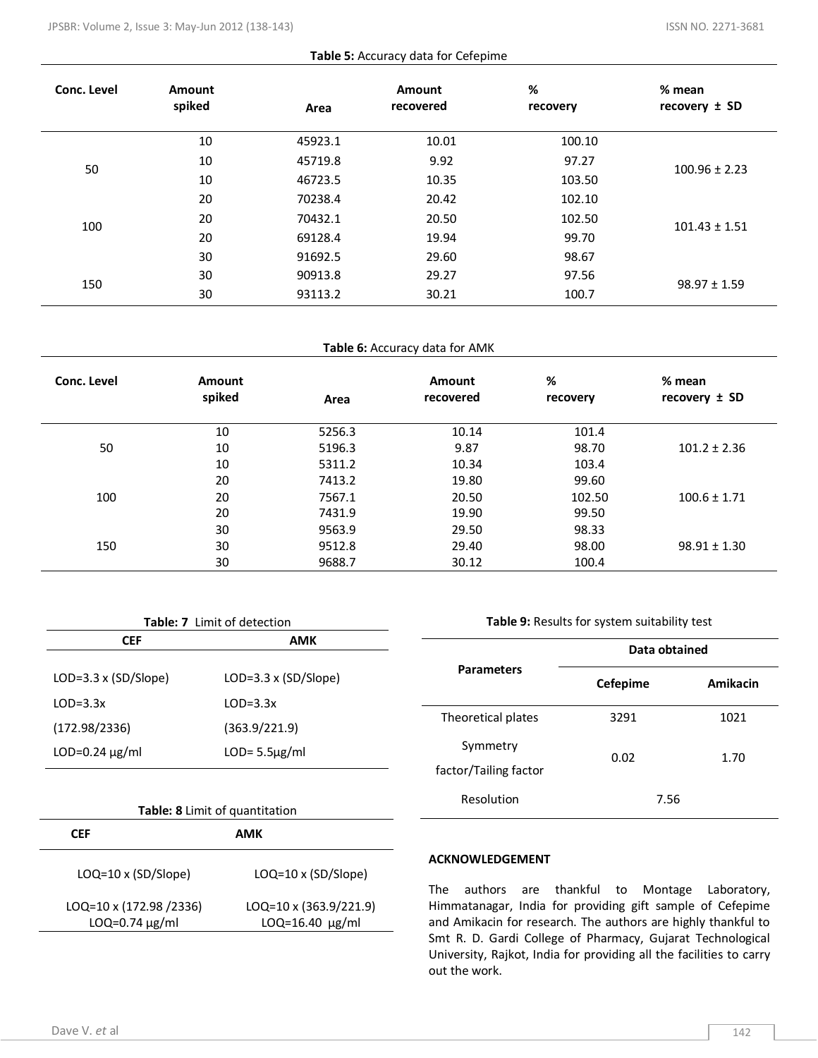| Table 5: Accuracy data for Cefepime |  |  |
|-------------------------------------|--|--|
|-------------------------------------|--|--|

| Conc. Level | Amount<br>spiked | Area    | Amount<br>recovered | %<br>recovery | % mean<br>recovery $\pm$ SD |
|-------------|------------------|---------|---------------------|---------------|-----------------------------|
|             | 10               | 45923.1 | 10.01               | 100.10        |                             |
| 50          | 10               | 45719.8 | 9.92                | 97.27         | $100.96 \pm 2.23$           |
|             | 10               | 46723.5 | 10.35               | 103.50        |                             |
|             | 20               | 70238.4 | 20.42               | 102.10        |                             |
| 100         | 20               | 70432.1 | 20.50               | 102.50        | $101.43 \pm 1.51$           |
|             | 20               | 69128.4 | 19.94               | 99.70         |                             |
|             | 30               | 91692.5 | 29.60               | 98.67         |                             |
| 150         | 30               | 90913.8 | 29.27               | 97.56         | $98.97 \pm 1.59$            |
|             | 30               | 93113.2 | 30.21               | 100.7         |                             |

## **Table 6:** Accuracy data for AMK

| Conc. Level | <b>Amount</b><br>spiked | Area   | Amount<br>recovered | %<br>recovery | % mean<br>recovery $\pm$ SD |
|-------------|-------------------------|--------|---------------------|---------------|-----------------------------|
|             | 10                      | 5256.3 | 10.14               | 101.4         |                             |
| 50          | 10                      | 5196.3 | 9.87                | 98.70         | $101.2 \pm 2.36$            |
|             | 10                      | 5311.2 | 10.34               | 103.4         |                             |
|             | 20                      | 7413.2 | 19.80               | 99.60         |                             |
| 100         | 20                      | 7567.1 | 20.50               | 102.50        | $100.6 \pm 1.71$            |
|             | 20                      | 7431.9 | 19.90               | 99.50         |                             |
|             | 30                      | 9563.9 | 29.50               | 98.33         |                             |
| 150         | 30                      | 9512.8 | 29.40               | 98.00         | $98.91 \pm 1.30$            |
|             | 30                      | 9688.7 | 30.12               | 100.4         |                             |

| Table: 7 Limit of detection |                             |  |
|-----------------------------|-----------------------------|--|
| AMK<br><b>CEF</b>           |                             |  |
|                             |                             |  |
| LOD=3.3 x (SD/Slope)        | $LOD=3.3 \times (SD/Slope)$ |  |
| $LOD=3.3x$                  | $LOD=3.3x$                  |  |
| (172.98/2336)               | (363.9/221.9)               |  |
| $LOD=0.24 \mu g/ml$         | $LOD = 5.5\mu g/ml$         |  |

| <b>Table: 8</b> Limit of quantitation            |                                                  |  |  |
|--------------------------------------------------|--------------------------------------------------|--|--|
| CEF                                              | AMK                                              |  |  |
| $LOQ=10 \times (SD/Slope)$                       | $LOQ=10 \times (SD/Slope)$                       |  |  |
| LOQ=10 x (172.98 /2336)<br>$LOQ = 0.74 \mu g/ml$ | $LOQ=10 \times (363.9/221.9)$<br>LOQ=16.40 µg/ml |  |  |

**Table 9:** Results for system suitability test

|                                   | Data obtained   |          |  |  |
|-----------------------------------|-----------------|----------|--|--|
| <b>Parameters</b>                 | <b>Cefepime</b> | Amikacin |  |  |
| Theoretical plates                | 3291            | 1021     |  |  |
| Symmetry<br>factor/Tailing factor | 0.02            | 1.70     |  |  |
| Resolution                        | 7.56            |          |  |  |

## **ACKNOWLEDGEMENT**

The authors are thankful to Montage Laboratory, Himmatanagar, India for providing gift sample of Cefepime and Amikacin for research. The authors are highly thankful to Smt R. D. Gardi College of Pharmacy, Gujarat Technological University, Rajkot, India for providing all the facilities to carry out the work.